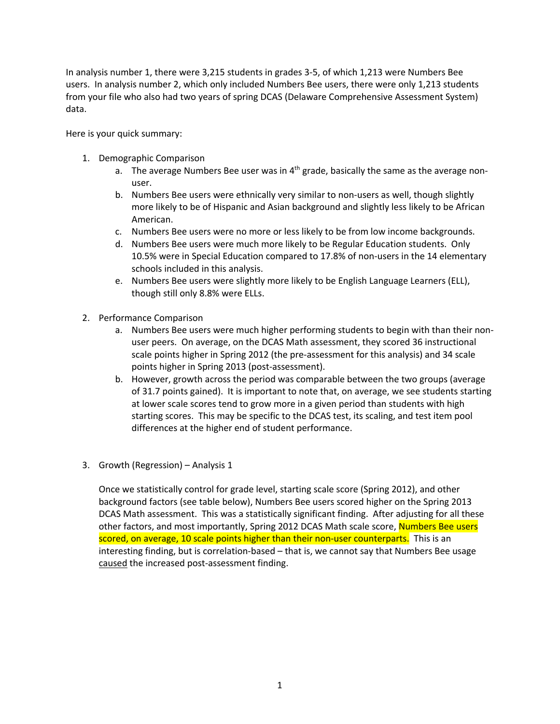In analysis number 1, there were 3,215 students in grades 3-5, of which 1,213 were Numbers Bee users. In analysis number 2, which only included Numbers Bee users, there were only 1,213 students from your file who also had two years of spring DCAS (Delaware Comprehensive Assessment System) data.

Here is your quick summary:

- 1. Demographic Comparison
	- a. The average Numbers Bee user was in  $4<sup>th</sup>$  grade, basically the same as the average nonuser.
	- b. Numbers Bee users were ethnically very similar to non-users as well, though slightly more likely to be of Hispanic and Asian background and slightly less likely to be African American.
	- c. Numbers Bee users were no more or less likely to be from low income backgrounds.
	- d. Numbers Bee users were much more likely to be Regular Education students. Only 10.5% were in Special Education compared to 17.8% of non-users in the 14 elementary schools included in this analysis.
	- e. Numbers Bee users were slightly more likely to be English Language Learners (ELL), though still only 8.8% were ELLs.
- 2. Performance Comparison
	- a. Numbers Bee users were much higher performing students to begin with than their nonuser peers. On average, on the DCAS Math assessment, they scored 36 instructional scale points higher in Spring 2012 (the pre-assessment for this analysis) and 34 scale points higher in Spring 2013 (post-assessment).
	- b. However, growth across the period was comparable between the two groups (average of 31.7 points gained). It is important to note that, on average, we see students starting at lower scale scores tend to grow more in a given period than students with high starting scores. This may be specific to the DCAS test, its scaling, and test item pool differences at the higher end of student performance.
- 3. Growth (Regression) Analysis 1

Once we statistically control for grade level, starting scale score (Spring 2012), and other background factors (see table below), Numbers Bee users scored higher on the Spring 2013 DCAS Math assessment. This was a statistically significant finding. After adjusting for all these other factors, and most importantly, Spring 2012 DCAS Math scale score, Numbers Bee users scored, on average, 10 scale points higher than their non-user counterparts. This is an interesting finding, but is correlation-based – that is, we cannot say that Numbers Bee usage caused the increased post-assessment finding.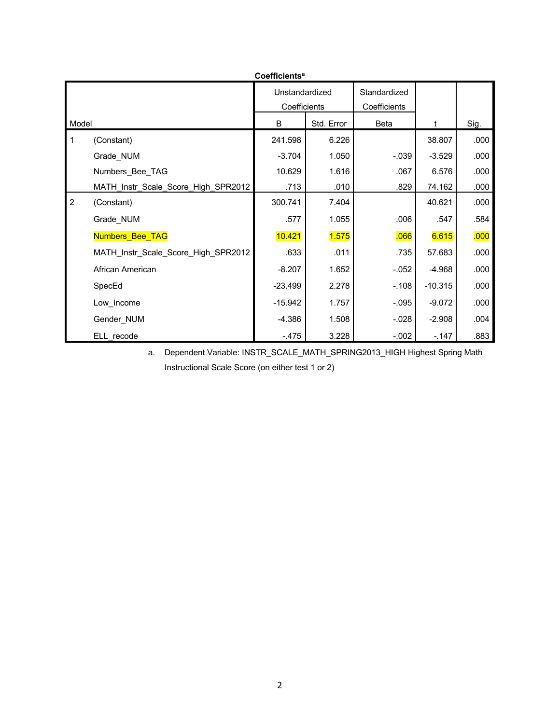| Coefficients <sup>a</sup> |                                     |           |                              |          |           |      |  |  |  |  |
|---------------------------|-------------------------------------|-----------|------------------------------|----------|-----------|------|--|--|--|--|
|                           | Unstandardized<br>Coefficients      |           | Standardized<br>Coefficients |          |           |      |  |  |  |  |
| Model                     |                                     | B         | Std. Error                   | Beta     | t         | Sig. |  |  |  |  |
| $\mathbf{1}$              | (Constant)                          | 241.598   | 6.226                        |          | 38.807    | .000 |  |  |  |  |
|                           | Grade_NUM                           | $-3.704$  | 1.050                        | $-.039$  | $-3.529$  | .000 |  |  |  |  |
|                           | Numbers Bee TAG                     | 10.629    | 1.616                        | .067     | 6.576     | .000 |  |  |  |  |
|                           | MATH_Instr_Scale_Score_High_SPR2012 | .713      | .010                         | .829     | 74.162    | .000 |  |  |  |  |
| $\overline{2}$            | (Constant)                          | 300.741   | 7.404                        |          | 40.621    | .000 |  |  |  |  |
|                           | Grade_NUM                           | .577      | 1.055                        | .006     | .547      | .584 |  |  |  |  |
|                           | <b>Numbers Bee TAG</b>              | 10.421    | 1.575                        | .066     | 6.615     | .000 |  |  |  |  |
|                           | MATH_Instr_Scale_Score_High_SPR2012 | .633      | .011                         | .735     | 57.683    | .000 |  |  |  |  |
|                           | African American                    | $-8.207$  | 1.652                        | $-.052$  | $-4.968$  | .000 |  |  |  |  |
|                           | SpecEd                              | $-23.499$ | 2.278                        | $-.108$  | $-10.315$ | .000 |  |  |  |  |
|                           | Low Income                          | $-15.942$ | 1.757                        | $-.095$  | $-9.072$  | .000 |  |  |  |  |
|                           | Gender_NUM                          | $-4.386$  | 1.508                        | $-0.028$ | $-2.908$  | .004 |  |  |  |  |
|                           | ELL recode                          | $-475$    | 3.228                        | $-.002$  | $-147$    | .883 |  |  |  |  |

a. Dependent Variable: INSTR\_SCALE\_MATH\_SPRING2013\_HIGH Highest Spring Math Instructional Scale Score (on either test 1 or 2)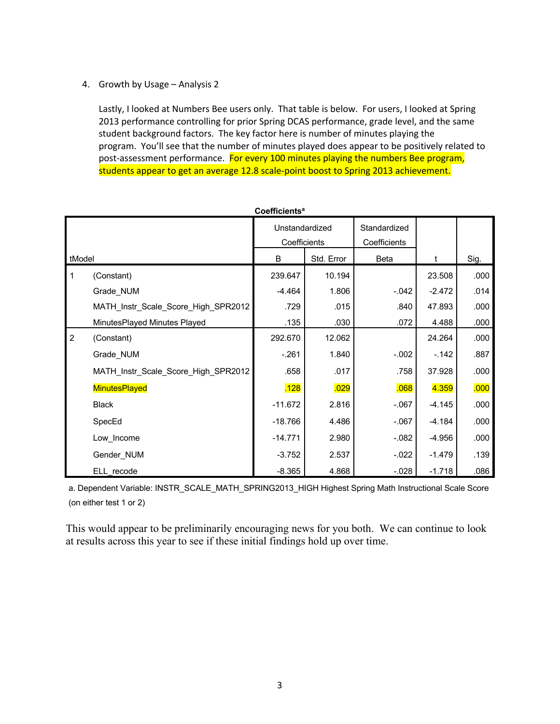4. Growth by Usage – Analysis 2

Lastly, I looked at Numbers Bee users only. That table is below. For users, I looked at Spring 2013 performance controlling for prior Spring DCAS performance, grade level, and the same student background factors. The key factor here is number of minutes playing the program. You'll see that the number of minutes played does appear to be positively related to post-assessment performance. For every 100 minutes playing the numbers Bee program, students appear to get an average 12.8 scale-point boost to Spring 2013 achievement.

| Coefficients <sup>a</sup> |                                     |                |            |              |          |      |  |  |  |  |
|---------------------------|-------------------------------------|----------------|------------|--------------|----------|------|--|--|--|--|
|                           |                                     | Unstandardized |            | Standardized |          |      |  |  |  |  |
|                           |                                     | Coefficients   |            | Coefficients |          |      |  |  |  |  |
| tModel                    |                                     | B              | Std. Error | Beta         | t        | Sig. |  |  |  |  |
| $\mathbf 1$               | (Constant)                          | 239.647        | 10.194     |              | 23.508   | .000 |  |  |  |  |
|                           | Grade_NUM                           | $-4.464$       | 1.806      | $-.042$      | $-2.472$ | .014 |  |  |  |  |
|                           | MATH_Instr_Scale_Score_High_SPR2012 | .729           | .015       | .840         | 47.893   | .000 |  |  |  |  |
|                           | MinutesPlayed Minutes Played        | .135           | .030       | .072         | 4.488    | .000 |  |  |  |  |
| $\overline{2}$            | (Constant)                          | 292.670        | 12.062     |              | 24.264   | .000 |  |  |  |  |
|                           | Grade_NUM                           | $-.261$        | 1.840      | $-.002$      | $-142$   | .887 |  |  |  |  |
|                           | MATH_Instr_Scale_Score_High_SPR2012 | .658           | .017       | .758         | 37.928   | .000 |  |  |  |  |
|                           | MinutesPlayed                       | .128           | .029       | .068         | 4.359    | .000 |  |  |  |  |
|                           | <b>Black</b>                        | $-11.672$      | 2.816      | $-.067$      | $-4.145$ | .000 |  |  |  |  |
|                           | SpecEd                              | $-18.766$      | 4.486      | $-067$       | $-4.184$ | .000 |  |  |  |  |
|                           | Low Income                          | $-14.771$      | 2.980      | $-082$       | $-4.956$ | .000 |  |  |  |  |
|                           | Gender_NUM                          | $-3.752$       | 2.537      | $-022$       | $-1.479$ | .139 |  |  |  |  |
|                           | ELL recode                          | $-8.365$       | 4.868      | $-0.028$     | $-1.718$ | .086 |  |  |  |  |

a. Dependent Variable: INSTR\_SCALE\_MATH\_SPRING2013\_HIGH Highest Spring Math Instructional Scale Score (on either test 1 or 2)

This would appear to be preliminarily encouraging news for you both. We can continue to look at results across this year to see if these initial findings hold up over time.